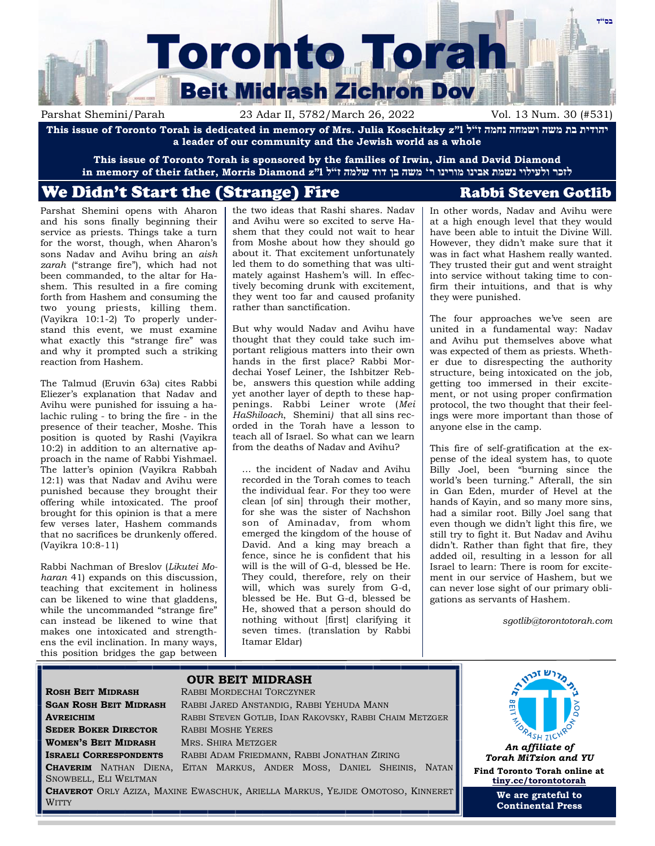# **בס"ד Toronto Torah Beit Midrash Zichron Dov**

Parshat Shemini/Parah 23 Adar II, 5782/March 26, 2022 Vol. 13 Num. 30 (#531)

**This issue of Toronto Torah is dedicated in memory of Mrs. Julia Koschitzky z"l ל"ז נחמה ושמחה משה בת יהודית a leader of our community and the Jewish world as a whole**

**This issue of Toronto Torah is sponsored by the families of Irwin, Jim and David Diamond לזכר ולעילוי נשמת אבינו מורינו ר' משה בן דוד שלמה ז"ל l"z Diamond Morris ,father their of memory in**

# We Didn't Start the (Strange) Fire Rabbi Steven Gotlib

Parshat Shemini opens with Aharon and his sons finally beginning their service as priests. Things take a turn for the worst, though, when Aharon's sons Nadav and Avihu bring an *aish zarah* ("strange fire"), which had not been commanded, to the altar for Hashem. This resulted in a fire coming forth from Hashem and consuming the two young priests, killing them. (Vayikra 10:1-2) To properly understand this event, we must examine what exactly this "strange fire" was and why it prompted such a striking reaction from Hashem.

The Talmud (Eruvin 63a) cites Rabbi Eliezer's explanation that Nadav and Avihu were punished for issuing a halachic ruling - to bring the fire - in the presence of their teacher, Moshe. This position is quoted by Rashi (Vayikra 10:2) in addition to an alternative approach in the name of Rabbi Yishmael. The latter's opinion (Vayikra Rabbah 12:1) was that Nadav and Avihu were punished because they brought their offering while intoxicated. The proof brought for this opinion is that a mere few verses later, Hashem commands that no sacrifices be drunkenly offered. (Vayikra 10:8-11)

Rabbi Nachman of Breslov (*Likutei Moharan* 41) expands on this discussion, teaching that excitement in holiness can be likened to wine that gladdens, while the uncommanded "strange fire" can instead be likened to wine that makes one intoxicated and strengthens the evil inclination. In many ways, this position bridges the gap between the two ideas that Rashi shares. Nadav and Avihu were so excited to serve Hashem that they could not wait to hear from Moshe about how they should go about it. That excitement unfortunately led them to do something that was ultimately against Hashem's will. In effectively becoming drunk with excitement, they went too far and caused profanity rather than sanctification.

But why would Nadav and Avihu have thought that they could take such important religious matters into their own hands in the first place? Rabbi Mordechai Yosef Leiner, the Ishbitzer Rebbe, answers this question while adding yet another layer of depth to these happenings. Rabbi Leiner wrote (*Mei HaShiloach*, Shemini*)* that all sins recorded in the Torah have a lesson to teach all of Israel. So what can we learn from the deaths of Nadav and Avihu?

… the incident of Nadav and Avihu recorded in the Torah comes to teach the individual fear. For they too were clean [of sin] through their mother, for she was the sister of Nachshon son of Aminadav, from whom emerged the kingdom of the house of David. And a king may breach a fence, since he is confident that his will is the will of G-d, blessed be He. They could, therefore, rely on their will, which was surely from G-d, blessed be He. But G-d, blessed be He, showed that a person should do nothing without [first] clarifying it seven times. (translation by Rabbi Itamar Eldar)

In other words, Nadav and Avihu were at a high enough level that they would have been able to intuit the Divine Will. However, they didn't make sure that it was in fact what Hashem really wanted. They trusted their gut and went straight into service without taking time to confirm their intuitions, and that is why they were punished.

The four approaches we've seen are united in a fundamental way: Nadav and Avihu put themselves above what was expected of them as priests. Whether due to disrespecting the authority structure, being intoxicated on the job, getting too immersed in their excitement, or not using proper confirmation protocol, the two thought that their feelings were more important than those of anyone else in the camp.

This fire of self-gratification at the expense of the ideal system has, to quote Billy Joel, been "burning since the world's been turning." Afterall, the sin in Gan Eden, murder of Hevel at the hands of Kayin, and so many more sins, had a similar root. Billy Joel sang that even though we didn't light this fire, we still try to fight it. But Nadav and Avihu didn't. Rather than fight that fire, they added oil, resulting in a lesson for all Israel to learn: There is room for excitement in our service of Hashem, but we can never lose sight of our primary obligations as servants of Hashem*.*

*sgotlib@torontotorah.com*

# **SEDER BOKER DIRECTOR** RABBI MOSHE YERES **WOMEN'S BEIT MIDRASH** MRS. SHIRA METZGER SNOWBELL, ELI WELTMAN

--

WITTY

# **OUR BEIT MIDRASH ROSH BEIT MIDRASH** RABBI MORDECHAI TORCZYNER **SGAN ROSH BEIT MIDRASH** RABBI JARED ANSTANDIG, RABBI YEHUDA MANN **AVREICHIM** RABBI STEVEN GOTLIB, IDAN RAKOVSKY, RABBI CHAIM METZGER **ISRAELI CORRESPONDENTS** RABBI ADAM FRIEDMANN, RABBI JONATHAN ZIRING **CHAVERIM** NATHAN DIENA, EITAN MARKUS, ANDER MOSS, DANIEL SHEINIS, NATAN **CHAVEROT** ORLY AZIZA, MAXINE EWASCHUK, ARIELLA MARKUS, YEJIDE OMOTOSO, KINNERET



**We are grateful to Continental Press**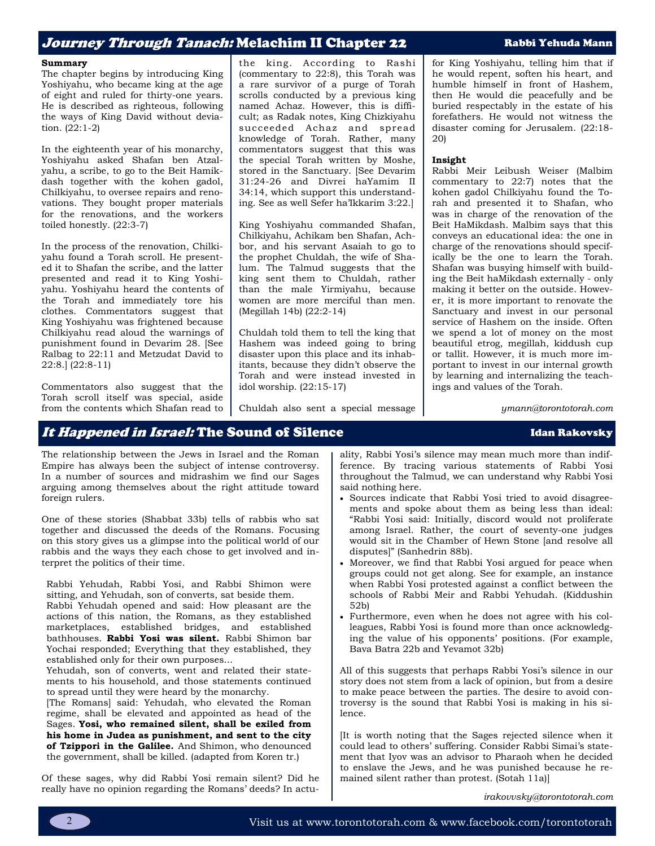## Jo*urney Through Tanach:* Melachim II Chapter 22 Rabbi Yehuda Mann

#### **Summary**

The chapter begins by introducing King Yoshiyahu, who became king at the age of eight and ruled for thirty-one years. He is described as righteous, following the ways of King David without deviation. (22:1-2)

In the eighteenth year of his monarchy, Yoshiyahu asked Shafan ben Atzalyahu, a scribe, to go to the Beit Hamikdash together with the kohen gadol, Chilkiyahu, to oversee repairs and renovations. They bought proper materials for the renovations, and the workers toiled honestly. (22:3-7)

In the process of the renovation, Chilkiyahu found a Torah scroll. He presented it to Shafan the scribe, and the latter presented and read it to King Yoshiyahu. Yoshiyahu heard the contents of the Torah and immediately tore his clothes. Commentators suggest that King Yoshiyahu was frightened because Chilkiyahu read aloud the warnings of punishment found in Devarim 28. [See Ralbag to 22:11 and Metzudat David to 22:8.] (22:8-11)

Commentators also suggest that the Torah scroll itself was special, aside from the contents which Shafan read to the king. According to Rashi (commentary to 22:8), this Torah was a rare survivor of a purge of Torah scrolls conducted by a previous king named Achaz. However, this is difficult; as Radak notes, King Chizkiyahu succeeded Achaz and spread knowledge of Torah. Rather, many commentators suggest that this was the special Torah written by Moshe, stored in the Sanctuary. [See Devarim 31:24-26 and Divrei haYamim II 34:14, which support this understanding. See as well Sefer ha'Ikkarim 3:22.]

King Yoshiyahu commanded Shafan, Chilkiyahu, Achikam ben Shafan, Achbor, and his servant Asaiah to go to the prophet Chuldah, the wife of Shalum. The Talmud suggests that the king sent them to Chuldah, rather than the male Yirmiyahu, because women are more merciful than men. (Megillah 14b) (22:2-14)

Chuldah told them to tell the king that Hashem was indeed going to bring disaster upon this place and its inhabitants, because they didn't observe the Torah and were instead invested in idol worship. (22:15-17)

Chuldah also sent a special message

for King Yoshiyahu, telling him that if he would repent, soften his heart, and humble himself in front of Hashem, then He would die peacefully and be buried respectably in the estate of his forefathers. He would not witness the disaster coming for Jerusalem. (22:18- 20)

### **Insight**

Rabbi Meir Leibush Weiser (Malbim commentary to 22:7) notes that the kohen gadol Chilkiyahu found the Torah and presented it to Shafan, who was in charge of the renovation of the Beit HaMikdash. Malbim says that this conveys an educational idea: the one in charge of the renovations should specifically be the one to learn the Torah. Shafan was busying himself with building the Beit haMikdash externally - only making it better on the outside. However, it is more important to renovate the Sanctuary and invest in our personal service of Hashem on the inside. Often we spend a lot of money on the most beautiful etrog, megillah, kiddush cup or tallit. However, it is much more important to invest in our internal growth by learning and internalizing the teachings and values of the Torah.

*ymann@torontotorah.com*

## It Happened in Israel: The Sound of Silence International Channel Man Rakovsky

The relationship between the Jews in Israel and the Roman Empire has always been the subject of intense controversy. In a number of sources and midrashim we find our Sages arguing among themselves about the right attitude toward foreign rulers.

One of these stories (Shabbat 33b) tells of rabbis who sat together and discussed the deeds of the Romans. Focusing on this story gives us a glimpse into the political world of our rabbis and the ways they each chose to get involved and interpret the politics of their time.

Rabbi Yehudah, Rabbi Yosi, and Rabbi Shimon were sitting, and Yehudah, son of converts, sat beside them.

Rabbi Yehudah opened and said: How pleasant are the actions of this nation, the Romans, as they established marketplaces, established bridges, and established bathhouses. **Rabbi Yosi was silent.** Rabbi Shimon bar Yochai responded; Everything that they established, they established only for their own purposes...

Yehudah, son of converts, went and related their statements to his household, and those statements continued to spread until they were heard by the monarchy.

[The Romans] said: Yehudah, who elevated the Roman regime, shall be elevated and appointed as head of the Sages. **Yosi, who remained silent, shall be exiled from his home in Judea as punishment, and sent to the city of Tzippori in the Galilee.** And Shimon, who denounced the government, shall be killed. (adapted from Koren tr.)

Of these sages, why did Rabbi Yosi remain silent? Did he really have no opinion regarding the Romans' deeds? In actuality, Rabbi Yosi's silence may mean much more than indifference. By tracing various statements of Rabbi Yosi throughout the Talmud, we can understand why Rabbi Yosi said nothing here.

- Sources indicate that Rabbi Yosi tried to avoid disagreements and spoke about them as being less than ideal: "Rabbi Yosi said: Initially, discord would not proliferate among Israel. Rather, the court of seventy-one judges would sit in the Chamber of Hewn Stone [and resolve all disputes]" (Sanhedrin 88b).
- Moreover, we find that Rabbi Yosi argued for peace when groups could not get along. See for example, an instance when Rabbi Yosi protested against a conflict between the schools of Rabbi Meir and Rabbi Yehudah. (Kiddushin 52b)
- Furthermore, even when he does not agree with his colleagues, Rabbi Yosi is found more than once acknowledging the value of his opponents' positions. (For example, Bava Batra 22b and Yevamot 32b)

All of this suggests that perhaps Rabbi Yosi's silence in our story does not stem from a lack of opinion, but from a desire to make peace between the parties. The desire to avoid controversy is the sound that Rabbi Yosi is making in his silence.

[It is worth noting that the Sages rejected silence when it could lead to others' suffering. Consider Rabbi Simai's statement that Iyov was an advisor to Pharaoh when he decided to enslave the Jews, and he was punished because he remained silent rather than protest. (Sotah 11a)]

*irakovvsky@torontotorah.com*

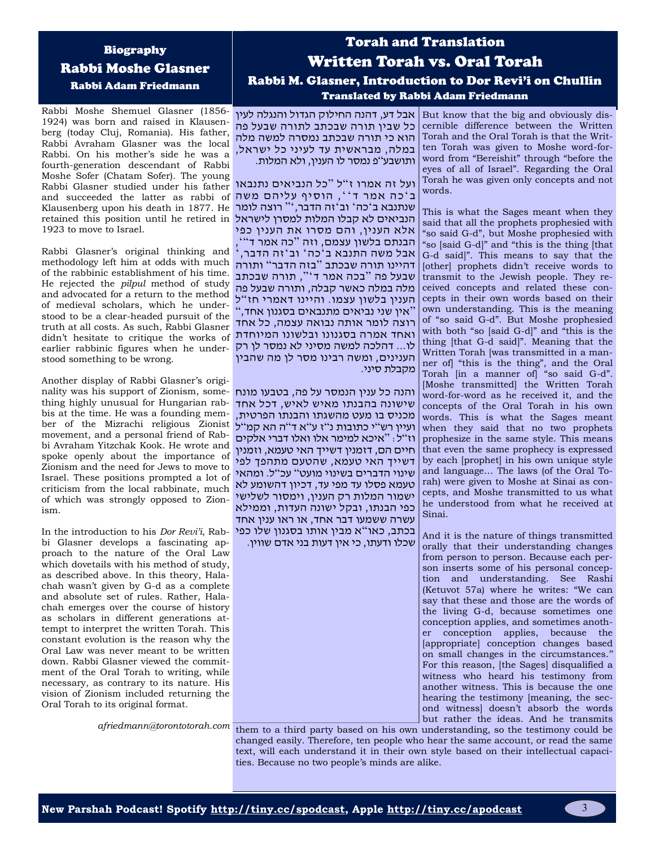## Biography Rabbi Moshe Glasner Rabbi Adam Friedmann

Rabbi Moshe Shemuel Glasner (1856- 1924) was born and raised in Klausenberg (today Cluj, Romania). His father, Rabbi Avraham Glasner was the local Rabbi. On his mother's side he was a במלה, מבראשית עד לעיני כל ישראל, fourth-generation descendant of Rabbi Moshe Sofer (Chatam Sofer). The young Rabbi Glasner studied under his father and succeeded the latter as rabbi of Klausenberg upon his death in 1877. He retained this position until he retired in הנביאים לא קבלו המלות למסרן לישראל 1923 to move to Israel. הוא כי תורה שבכתב נמסרה למשה מלה

Rabbi Glasner's original thinking and methodology left him at odds with much of the rabbinic establishment of his time. He rejected the *pilpul* method of study and advocated for a return to the method of medieval scholars, which he understood to be a clear-headed pursuit of the truth at all costs. As such, Rabbi Glasner didn't hesitate to critique the works of earlier rabbinic figures when he understood something to be wrong.

Another display of Rabbi Glasner's originality was his support of Zionism, something highly unusual for Hungarian rabbis at the time. He was a founding member of the Mizrachi religious Zionist movement, and a personal friend of Rabbi Avraham Yitzchak Kook. He wrote and spoke openly about the importance of Zionism and the need for Jews to move to Israel. These positions prompted a lot of criticism from the local rabbinate, much of which was strongly opposed to Zionism.

In the introduction to his *Dor Revi'i*, Rabbi Glasner develops a fascinating approach to the nature of the Oral Law which dovetails with his method of study, as described above. In this theory, Halachah wasn't given by G-d as a complete and absolute set of rules. Rather, Halachah emerges over the course of history as scholars in different generations attempt to interpret the written Torah. This constant evolution is the reason why the Oral Law was never meant to be written down. Rabbi Glasner viewed the commitment of the Oral Torah to writing, while necessary, as contrary to its nature. His vision of Zionism included returning the Oral Torah to its original format.

# Torah and Translation Written Torah vs. Oral Torah Rabbi M. Glasner, Introduction to Dor Revi'i on Chullin Translated by Rabbi Adam Friedmann

כל שבין תורה שבכתב לתורה שבעל פה ותושבע"פ נמסר לו הענין, ולא המלות.

ועל זה אמרו ז"ל "כל הנביאים נתנבאו ב ' כה אמר ד ' ', הוסיף עליהם משה שנתנבא ב'כה' וב'זה הדבר,'" רוצה לומר אלא הענין, והם מסרו את הענין כפי הבנתם בלשון עצמם, וזה " כה אמר ד "', | אבל משה התנבא ב'כה' וב'זה הדבר, <sup>י</sup> דהיינו תורה שבכתב " בזה הדבר " ותורה שבעל פה " בכה אמר ד '", תורה שבכתב מלה במלה כאשר קבלה, ותורה שבעל פה הענין בלשון עצמו. והיינו דאמרי חז " ל " אין שני נביאים מתנבאים בסגנון אחד, " ר וצה לומר אותה נבואה עצמה, כל אחד ואחד אמרה בסגנונו ובלשונו המיוחדת לו... דהלכה למשה מסיני לא נמסר לן רק הענינים, ומשה רבינו מסר לן מה שהבין מקבלת סיני.

והנה כל ענין הנמסר על פה, בטבעו מונח שישונה בהבנתו מאיש לאיש, דכל אחד מכניס בו מעט מהשגתו והבנתו הפרטית, ועיין רש"י כתובות נ"ז ע"א ד"ה הא קמ"ל וז"ל: "איכא למימר אלו ואלו דברי אלקים חיים הם, דזמנין דשייך האי טעמא, וזמנין דשייך האי טעמא, שהטעם מתהפך לפי שינוי הדברים בשינוי מועט" עכ"ל. ומהאי טעמא פסלו עד מפי עד, דכיון דהשומע לא ישמור המלות רק הענין, וימסור לשלישי כפי הבנתו, ובקל ישונה העדות, וממילא עשרה ששמעו דבר אחד, או ראו ענין אחד בכתב, כאו"א מבין אותו בסגנון שלו כפי שכלו ודעתו, כי אין דעות בני אדם שווין.

אבל דע, דהנה החילוק הגדול והנגלה לעין But know that the big and obviously discernible difference between the Written Torah and the Oral Torah is that the Written Torah was given to Moshe word-forword from "Bereishit" through "before the eyes of all of Israel". Regarding the Oral Torah he was given only concepts and not words.

> This is what the Sages meant when they said that all the prophets prophesied with "so said G-d", but Moshe prophesied with "so [said G-d]" and "this is the thing [that G-d said]". This means to say that the [other] prophets didn't receive words to transmit to the Jewish people. They received concepts and related these concepts in their own words based on their own understanding. This is the meaning of "so said G-d". But Moshe prophesied with both "so [said G-d]" and "this is the thing [that G-d said]". Meaning that the Written Torah [was transmitted in a manner of] "this is the thing", and the Oral Torah [in a manner of] "so said G-d". [Moshe transmitted] the Written Torah word-for-word as he received it, and the concepts of the Oral Torah in his own words. This is what the Sages meant when they said that no two prophets prophesize in the same style. This means that even the same prophecy is expressed by each [prophet] in his own unique style and language… The laws (of the Oral Torah) were given to Moshe at Sinai as concepts, and Moshe transmitted to us what he understood from what he received at Sinai.

> And it is the nature of things transmitted orally that their understanding changes from person to person. Because each person inserts some of his personal conception and understanding. See Rashi (Ketuvot 57a) where he writes: "We can say that these and those are the words of the living G-d, because sometimes one conception applies, and sometimes another conception applies, because the [appropriate] conception changes based on small changes in the circumstances.'' For this reason, [the Sages] disqualified a witness who heard his testimony from another witness. This is because the one hearing the testimony [meaning, the second witness] doesn't absorb the words but rather the ideas. And he transmits

*afriedmann@torontotorah.com* them to a third party based on his own understanding, so the testimony could be changed easily. Therefore, ten people who hear the same account, or read the same text, will each understand it in their own style based on their intellectual capacities. Because no two people's minds are alike.